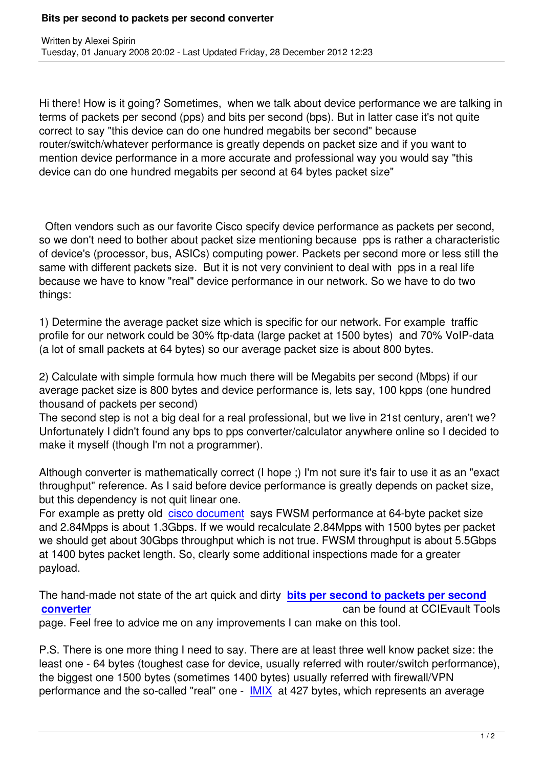Hi there! How is it going? Sometimes, when we talk about device performance we are talking in terms of packets per second (pps) and bits per second (bps). But in latter case it's not quite correct to say "this device can do one hundred megabits ber second" because router/switch/whatever performance is greatly depends on packet size and if you want to mention device performance in a more accurate and professional way you would say "this device can do one hundred megabits per second at 64 bytes packet size"

 Often vendors such as our favorite Cisco specify device performance as packets per second, so we don't need to bother about packet size mentioning because pps is rather a characteristic of device's (processor, bus, ASICs) computing power. Packets per second more or less still the same with different packets size. But it is not very convinient to deal with pps in a real life because we have to know "real" device performance in our network. So we have to do two things:

1) Determine the average packet size which is specific for our network. For example traffic profile for our network could be 30% ftp-data (large packet at 1500 bytes) and 70% VoIP-data (a lot of small packets at 64 bytes) so our average packet size is about 800 bytes.

2) Calculate with simple formula how much there will be Megabits per second (Mbps) if our average packet size is 800 bytes and device performance is, lets say, 100 kpps (one hundred thousand of packets per second)

The second step is not a big deal for a real professional, but we live in 21st century, aren't we? Unfortunately I didn't found any bps to pps converter/calculator anywhere online so I decided to make it myself (though I'm not a programmer).

Although converter is mathematically correct (I hope ;) I'm not sure it's fair to use it as an "exact throughput" reference. As I said before device performance is greatly depends on packet size, but this dependency is not quit linear one.

For example as pretty old cisco document says FWSM performance at 64-byte packet size and 2.84Mpps is about 1.3Gbps. If we would recalculate 2.84Mpps with 1500 bytes per packet we should get about 30Gbps throughput which is not true. FWSM throughput is about 5.5Gbps at 1400 bytes packet lengt[h. So, clearly so](http://www.cisco.com/en/US/docs/security/fwsm/fwsm22/configuration/guide/specs.html#wp1056007)me additional inspections made for a greater payload.

The hand-made not state of the art quick and dirty **bits per second to packets per second converter** can be found at CCIEvault Tools page. Feel free to advice me on any improvements I can make on this tool.

[P.S. There](http://www.ccievault.net/index.php/tools) is one more thing I need to say. There [are at least three well know packet size: th](http://www.ccievault.net/index.php/tools)e least one - 64 bytes (toughest case for device, usually referred with router/switch performance), the biggest one 1500 bytes (sometimes 1400 bytes) usually referred with firewall/VPN performance and the so-called "real" one - IMIX at 427 bytes, which represents an average